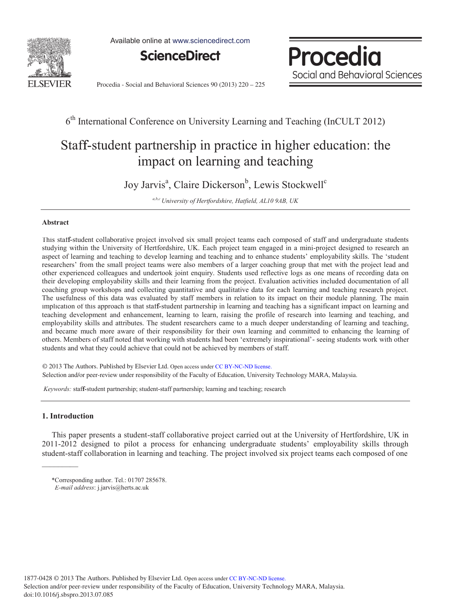

Available online at www.sciencedirect.com



Procedia Social and Behavioral Sciences

Procedia - Social and Behavioral Sciences 90 (2013) 220 - 225

# 6th International Conference on University Learning and Teaching (InCULT 2012)

# Staff-student partnership in practice in higher education: the impact on learning and teaching

Joy Jarvis<sup>a</sup>, Claire Dickerson<sup>b</sup>, Lewis Stockwell<sup>c</sup>

*a,b,c University of Hertfordshire, Hatfield, AL10 9AB, UK*

#### **Abstract**

This staff-student collaborative project involved six small project teams each composed of staff and undergraduate students studying within the University of Hertfordshire, UK. Each project team engaged in a mini-project designed to research an aspect of learning and teaching to develop learning and teaching and to enhance students' employability skills. The 'student researchers' from the small project teams were also members of a larger coaching group that met with the project lead and other experienced colleagues and undertook joint enquiry. Students used reflective logs as one means of recording data on their developing employability skills and their learning from the project. Evaluation activities included documentation of all coaching group workshops and collecting quantitative and qualitative data for each learning and teaching research project. The usefulness of this data was evaluated by staff members in relation to its impact on their module planning. The main implication of this approach is that staff-student partnership in learning and teaching has a significant impact on learning and teaching development and enhancement, learning to learn, raising the profile of research into learning and teaching, and employability skills and attributes. The student researchers came to a much deeper understanding of learning and teaching, and became much more aware of their responsibility for their own learning and committed to enhancing the learning of others. Members of staff noted that working with students had been 'extremely inspirational'- seeing students work with other students and what they could achieve that could not be achieved by members of staff.

© 2012 The Authors. Published by Elsevier Ltd. © 2013 The Authors. Published by Elsevier Ltd. Open access under CC BY-NC-ND license. Selection and/or peer-review under responsibility of the Faculty of Education, University Technology MARA, Malaysia.

*Keywords:* staff-student partnership; student-staff partnership; learning and teaching; research

# **1. Introduction**

This paper presents a student-staff collaborative project carried out at the University of Hertfordshire, UK in 2011-2012 designed to pilot a process for enhancing undergraduate students' employability skills through student-staff collaboration in learning and teaching. The project involved six project teams each composed of one

<sup>\*</sup>Corresponding author. Tel.: 01707 285678. *E-mail address*: j.jarvis@herts.ac.uk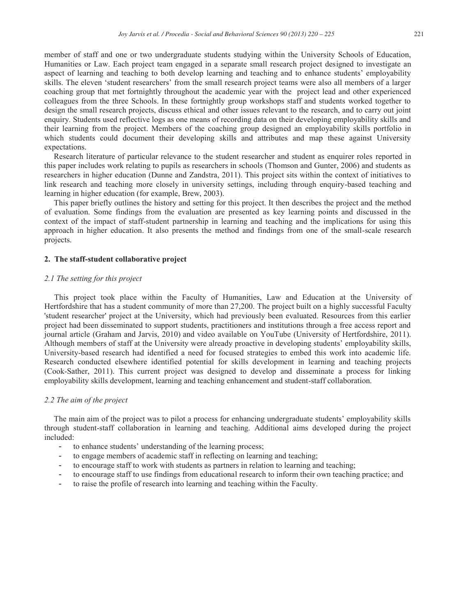member of staff and one or two undergraduate students studying within the University Schools of Education, Humanities or Law. Each project team engaged in a separate small research project designed to investigate an aspect of learning and teaching to both develop learning and teaching and to enhance students' employability skills. The eleven 'student researchers' from the small research project teams were also all members of a larger coaching group that met fortnightly throughout the academic year with the project lead and other experienced colleagues from the three Schools. In these fortnightly group workshops staff and students worked together to design the small research projects, discuss ethical and other issues relevant to the research, and to carry out joint enquiry. Students used reflective logs as one means of recording data on their developing employability skills and their learning from the project. Members of the coaching group designed an employability skills portfolio in which students could document their developing skills and attributes and map these against University expectations.

Research literature of particular relevance to the student researcher and student as enquirer roles reported in this paper includes work relating to pupils as researchers in schools (Thomson and Gunter, 2006) and students as researchers in higher education (Dunne and Zandstra, 2011). This project sits within the context of initiatives to link research and teaching more closely in university settings, including through enquiry-based teaching and learning in higher education (for example, Brew, 2003).

This paper briefly outlines the history and setting for this project. It then describes the project and the method of evaluation. Some findings from the evaluation are presented as key learning points and discussed in the context of the impact of staff-student partnership in learning and teaching and the implications for using this approach in higher education. It also presents the method and findings from one of the small-scale research projects.

#### **2. The staff-student collaborative project**

#### *2.1 The setting for this project*

This project took place within the Faculty of Humanities, Law and Education at the University of Hertfordshire that has a student community of more than 27,200. The project built on a highly successful Faculty 'student researcher' project at the University, which had previously been evaluated. Resources from this earlier project had been disseminated to support students, practitioners and institutions through a free access report and journal article (Graham and Jarvis, 2010) and video available on YouTube (University of Hertfordshire, 2011). Although members of staff at the University were already proactive in developing students' employability skills, University-based research had identified a need for focused strategies to embed this work into academic life. Research conducted elsewhere identified potential for skills development in learning and teaching projects (Cook-Sather, 2011). This current project was designed to develop and disseminate a process for linking employability skills development, learning and teaching enhancement and student-staff collaboration.

#### *2.2 The aim of the project*

The main aim of the project was to pilot a process for enhancing undergraduate students' employability skills through student-staff collaboration in learning and teaching. Additional aims developed during the project included:

- to enhance students' understanding of the learning process;
- to engage members of academic staff in reflecting on learning and teaching;
- to encourage staff to work with students as partners in relation to learning and teaching;
- to encourage staff to use findings from educational research to inform their own teaching practice; and
- to raise the profile of research into learning and teaching within the Faculty.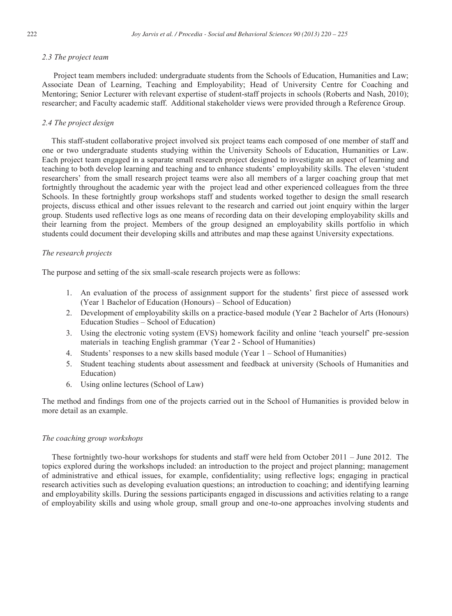#### *2.3 The project team*

 Project team members included: undergraduate students from the Schools of Education, Humanities and Law; Associate Dean of Learning, Teaching and Employability; Head of University Centre for Coaching and Mentoring; Senior Lecturer with relevant expertise of student-staff projects in schools (Roberts and Nash, 2010); researcher; and Faculty academic staff. Additional stakeholder views were provided through a Reference Group.

## *2.4 The project design*

This staff-student collaborative project involved six project teams each composed of one member of staff and one or two undergraduate students studying within the University Schools of Education, Humanities or Law. Each project team engaged in a separate small research project designed to investigate an aspect of learning and teaching to both develop learning and teaching and to enhance students' employability skills. The eleven 'student researchers' from the small research project teams were also all members of a larger coaching group that met fortnightly throughout the academic year with the project lead and other experienced colleagues from the three Schools. In these fortnightly group workshops staff and students worked together to design the small research projects, discuss ethical and other issues relevant to the research and carried out joint enquiry within the larger group. Students used reflective logs as one means of recording data on their developing employability skills and their learning from the project. Members of the group designed an employability skills portfolio in which students could document their developing skills and attributes and map these against University expectations.

## *The research projects*

The purpose and setting of the six small-scale research projects were as follows:

- 1. An evaluation of the process of assignment support for the students' first piece of assessed work (Year 1 Bachelor of Education (Honours) – School of Education)
- 2. Development of employability skills on a practice-based module (Year 2 Bachelor of Arts (Honours) Education Studies – School of Education)
- 3. Using the electronic voting system (EVS) homework facility and online 'teach yourself' pre-session materials in teaching English grammar (Year 2 - School of Humanities)
- 4. Students' responses to a new skills based module (Year 1 School of Humanities)
- 5. Student teaching students about assessment and feedback at university (Schools of Humanities and Education)
- 6. Using online lectures (School of Law)

The method and findings from one of the projects carried out in the School of Humanities is provided below in more detail as an example.

#### *The coaching group workshops*

These fortnightly two-hour workshops for students and staff were held from October 2011 – June 2012. The topics explored during the workshops included: an introduction to the project and project planning; management of administrative and ethical issues, for example, confidentiality; using reflective logs; engaging in practical research activities such as developing evaluation questions; an introduction to coaching; and identifying learning and employability skills. During the sessions participants engaged in discussions and activities relating to a range of employability skills and using whole group, small group and one-to-one approaches involving students and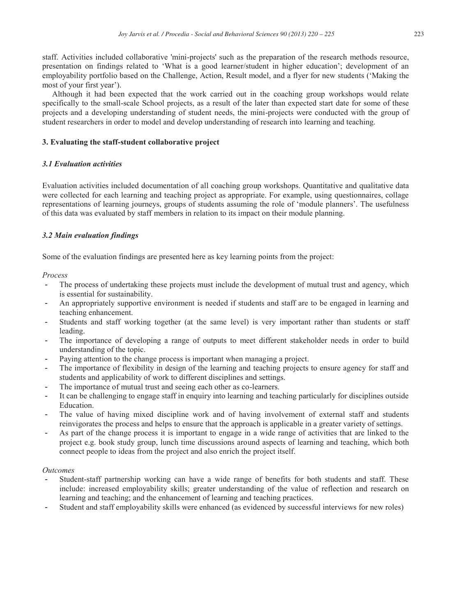staff. Activities included collaborative 'mini-projects' such as the preparation of the research methods resource, presentation on findings related to 'What is a good learner/student in higher education'; development of an employability portfolio based on the Challenge, Action, Result model, and a flyer for new students ('Making the most of your first year').

Although it had been expected that the work carried out in the coaching group workshops would relate specifically to the small-scale School projects, as a result of the later than expected start date for some of these projects and a developing understanding of student needs, the mini-projects were conducted with the group of student researchers in order to model and develop understanding of research into learning and teaching.

# **3. Evaluating the staff-student collaborative project**

# *3.1 Evaluation activities*

Evaluation activities included documentation of all coaching group workshops. Quantitative and qualitative data were collected for each learning and teaching project as appropriate. For example, using questionnaires, collage representations of learning journeys, groups of students assuming the role of 'module planners'. The usefulness of this data was evaluated by staff members in relation to its impact on their module planning.

# *3.2 Main evaluation findings*

Some of the evaluation findings are presented here as key learning points from the project:

# *Process*

- The process of undertaking these projects must include the development of mutual trust and agency, which is essential for sustainability.
- An appropriately supportive environment is needed if students and staff are to be engaged in learning and teaching enhancement.
- Students and staff working together (at the same level) is very important rather than students or staff leading.
- The importance of developing a range of outputs to meet different stakeholder needs in order to build understanding of the topic.
- Paying attention to the change process is important when managing a project.
- The importance of flexibility in design of the learning and teaching projects to ensure agency for staff and students and applicability of work to different disciplines and settings.
- The importance of mutual trust and seeing each other as co-learners.
- It can be challenging to engage staff in enquiry into learning and teaching particularly for disciplines outside Education.
- The value of having mixed discipline work and of having involvement of external staff and students reinvigorates the process and helps to ensure that the approach is applicable in a greater variety of settings.
- As part of the change process it is important to engage in a wide range of activities that are linked to the project e.g. book study group, lunch time discussions around aspects of learning and teaching, which both connect people to ideas from the project and also enrich the project itself.

# *Outcomes*

- Student-staff partnership working can have a wide range of benefits for both students and staff. These include: increased employability skills; greater understanding of the value of reflection and research on learning and teaching; and the enhancement of learning and teaching practices.
- Student and staff employability skills were enhanced (as evidenced by successful interviews for new roles)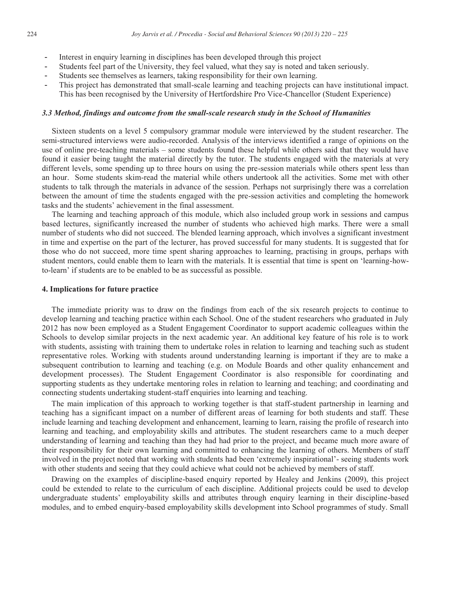- Interest in enquiry learning in disciplines has been developed through this project
- Students feel part of the University, they feel valued, what they say is noted and taken seriously.
- Students see themselves as learners, taking responsibility for their own learning.
- This project has demonstrated that small-scale learning and teaching projects can have institutional impact. This has been recognised by the University of Hertfordshire Pro Vice-Chancellor (Student Experience)

#### *3.3 Method, findings and outcome from the small-scale research study in the School of Humanities*

Sixteen students on a level 5 compulsory grammar module were interviewed by the student researcher. The semi-structured interviews were audio-recorded. Analysis of the interviews identified a range of opinions on the use of online pre-teaching materials – some students found these helpful while others said that they would have found it easier being taught the material directly by the tutor. The students engaged with the materials at very different levels, some spending up to three hours on using the pre-session materials while others spent less than an hour. Some students skim-read the material while others undertook all the activities. Some met with other students to talk through the materials in advance of the session. Perhaps not surprisingly there was a correlation between the amount of time the students engaged with the pre-session activities and completing the homework tasks and the students' achievement in the final assessment.

The learning and teaching approach of this module, which also included group work in sessions and campus based lectures, significantly increased the number of students who achieved high marks. There were a small number of students who did not succeed. The blended learning approach, which involves a significant investment in time and expertise on the part of the lecturer, has proved successful for many students. It is suggested that for those who do not succeed, more time spent sharing approaches to learning, practising in groups, perhaps with student mentors, could enable them to learn with the materials. It is essential that time is spent on 'learning-howto-learn' if students are to be enabled to be as successful as possible.

#### **4. Implications for future practice**

The immediate priority was to draw on the findings from each of the six research projects to continue to develop learning and teaching practice within each School. One of the student researchers who graduated in July 2012 has now been employed as a Student Engagement Coordinator to support academic colleagues within the Schools to develop similar projects in the next academic year. An additional key feature of his role is to work with students, assisting with training them to undertake roles in relation to learning and teaching such as student representative roles. Working with students around understanding learning is important if they are to make a subsequent contribution to learning and teaching (e.g. on Module Boards and other quality enhancement and development processes). The Student Engagement Coordinator is also responsible for coordinating and supporting students as they undertake mentoring roles in relation to learning and teaching; and coordinating and connecting students undertaking student-staff enquiries into learning and teaching.

The main implication of this approach to working together is that staff-student partnership in learning and teaching has a significant impact on a number of different areas of learning for both students and staff. These include learning and teaching development and enhancement, learning to learn, raising the profile of research into learning and teaching, and employability skills and attributes. The student researchers came to a much deeper understanding of learning and teaching than they had had prior to the project, and became much more aware of their responsibility for their own learning and committed to enhancing the learning of others. Members of staff involved in the project noted that working with students had been 'extremely inspirational'- seeing students work with other students and seeing that they could achieve what could not be achieved by members of staff.

Drawing on the examples of discipline-based enquiry reported by Healey and Jenkins (2009), this project could be extended to relate to the curriculum of each discipline. Additional projects could be used to develop undergraduate students' employability skills and attributes through enquiry learning in their discipline-based modules, and to embed enquiry-based employability skills development into School programmes of study. Small